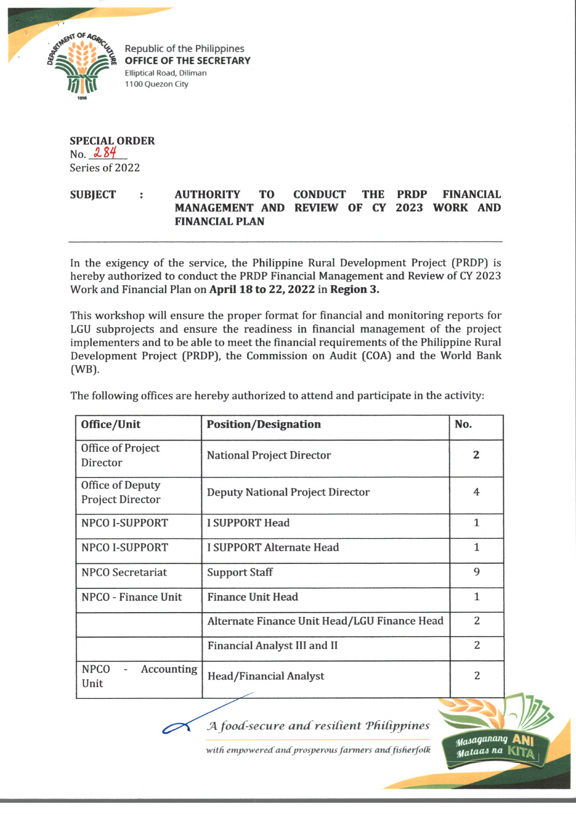

Republic of the Philippines **OFFICE OF THE SECRETARY** Elliptical Road, Diliman 1100 Quezon City

## **SPECIAL ORDER**  $No. 284$ Series of 2022

## **SUBJECT : AUTHORITY TO CONDUCT THE PRDP FINANCIAL MANAGEMENT AND REVIEW OF CY 2023 WORK AND FINANCIAL PLAN**

In the exigency of the service, the Philippine Rural Development Project (PRDP) is hereby authorized to conduct the PRDP Financial Management and Review of CY 2023 Work and Financial Plan on **April 18 to 22, 2022** in **Region 3,**

This workshop will ensure the proper format for financial and monitoring reports for LGU subprojects and ensure the readiness in financial management of the project implementers and to be able to meet the financial requirements of the Philippine Rural Development Project (PRDP), the Commission on Audit (COA) and the World Bank (WB).

| Office/Unit                                 | <b>Position/Designation</b>                  | No.          |
|---------------------------------------------|----------------------------------------------|--------------|
| Office of Project<br>Director               | <b>National Project Director</b>             | 2            |
| Office of Deputy<br><b>Project Director</b> | <b>Deputy National Project Director</b>      | 4            |
| <b>NPCO I-SUPPORT</b>                       | <b>I SUPPORT Head</b>                        | 1            |
| <b>NPCO I-SUPPORT</b>                       | I SUPPORT Alternate Head                     | 1            |
| <b>NPCO</b> Secretariat                     | <b>Support Staff</b>                         | 9            |
| NPCO - Finance Unit                         | <b>Finance Unit Head</b>                     | $\mathbf{1}$ |
|                                             | Alternate Finance Unit Head/LGU Finance Head | 2            |
|                                             | Financial Analyst III and II                 | 2            |
| <b>NPCO</b><br>Accounting<br>Unit           | Head/Financial Analyst                       | 2            |

The following offices are hereby authorized to attend and participate in the activity:

*fA food-secure an d resilient Tfiilippines*

with empowered and prosperous farmers and fisherfolk

*^asaqanang* ani *iut*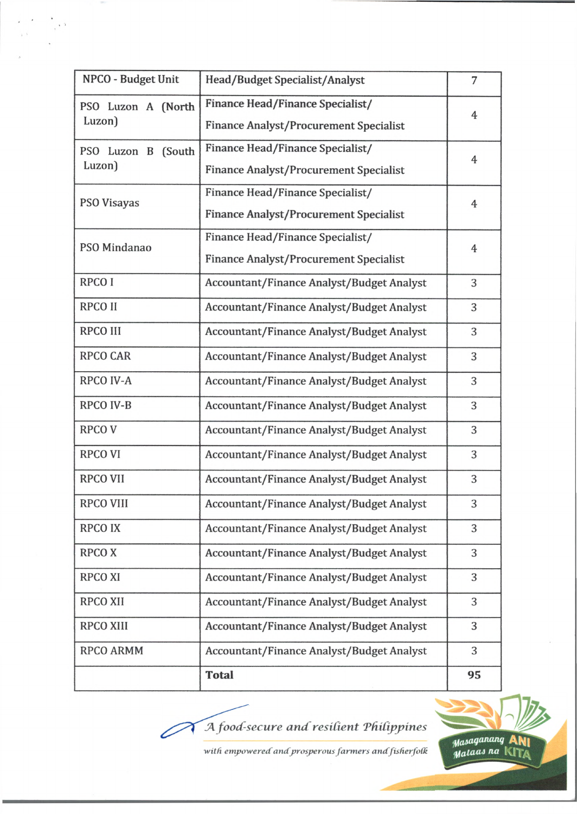| NPCO - Budget Unit           | Head/Budget Specialist/Analyst                                                    | 7              |
|------------------------------|-----------------------------------------------------------------------------------|----------------|
| PSO Luzon A (North<br>Luzon) | Finance Head/Finance Specialist/<br><b>Finance Analyst/Procurement Specialist</b> | $\overline{4}$ |
| PSO Luzon B (South<br>Luzon) | Finance Head/Finance Specialist/<br><b>Finance Analyst/Procurement Specialist</b> | 4              |
| PSO Visayas                  | Finance Head/Finance Specialist/<br><b>Finance Analyst/Procurement Specialist</b> | $\overline{4}$ |
| PSO Mindanao                 | Finance Head/Finance Specialist/<br><b>Finance Analyst/Procurement Specialist</b> | $\overline{4}$ |
| RPCO I                       | <b>Accountant/Finance Analyst/Budget Analyst</b>                                  | 3              |
| <b>RPCO II</b>               | <b>Accountant/Finance Analyst/Budget Analyst</b>                                  | 3              |
| <b>RPCO III</b>              | <b>Accountant/Finance Analyst/Budget Analyst</b>                                  | 3              |
| <b>RPCO CAR</b>              | <b>Accountant/Finance Analyst/Budget Analyst</b>                                  | 3              |
| <b>RPCO IV-A</b>             | Accountant/Finance Analyst/Budget Analyst                                         | 3              |
| RPCO IV-B                    | <b>Accountant/Finance Analyst/Budget Analyst</b>                                  | 3              |
| <b>RPCOV</b>                 | <b>Accountant/Finance Analyst/Budget Analyst</b>                                  | 3              |
| <b>RPCO VI</b>               | <b>Accountant/Finance Analyst/Budget Analyst</b>                                  | 3              |
| <b>RPCO VII</b>              | <b>Accountant/Finance Analyst/Budget Analyst</b>                                  | 3              |
| <b>RPCO VIII</b>             | <b>Accountant/Finance Analyst/Budget Analyst</b>                                  | 3              |
| <b>RPCO IX</b>               | <b>Accountant/Finance Analyst/Budget Analyst</b>                                  | 3              |
| <b>RPCOX</b>                 | <b>Accountant/Finance Analyst/Budget Analyst</b>                                  | 3              |
| <b>RPCO XI</b>               | <b>Accountant/Finance Analyst/Budget Analyst</b>                                  | 3              |
| <b>RPCO XII</b>              | <b>Accountant/Finance Analyst/Budget Analyst</b>                                  | 3              |
| <b>RPCO XIII</b>             | <b>Accountant/Finance Analyst/Budget Analyst</b>                                  | 3              |
| RPCO ARMM                    | <b>Accountant/Finance Analyst/Budget Analyst</b>                                  | 3              |
|                              | <b>Total</b>                                                                      | 95             |

 $\frac{1}{\sqrt{2}}\left(1-\frac{1}{2}\right)$ 

A food-secure and resilient Philippines

 $% \mathcal{M}_{\mathrm{F}}$  with empowered and prosperous farmers and fisher<br>folk